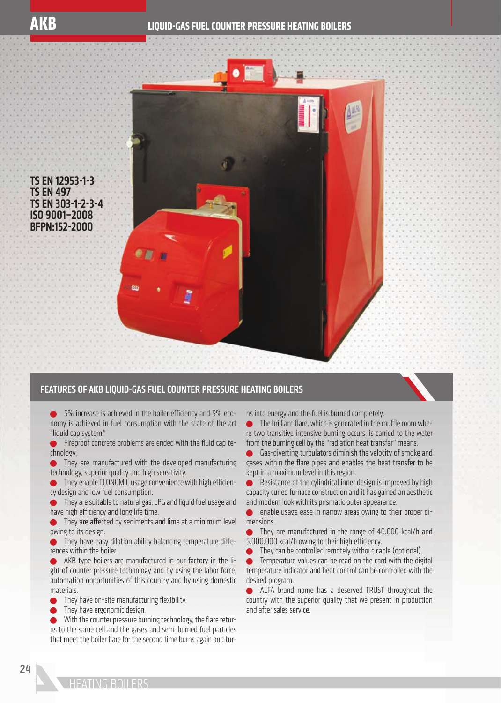

TS EN 12953-1-3 TS EN 497 TS EN 303-1-2-3-4 ISO 9001–2008 BFPN:152-2000

## FEATURES OF AKB LIQUID-GAS FUEL COUNTER PRESSURE HEATING BOILERS

 $\bullet$  5% increase is achieved in the boiler efficiency and 5% economy is achieved in fuel consumption with the state of the art "liquid cap system."

 $\bullet$  Fireproof concrete problems are ended with the fluid cap technology.

**•** They are manufactured with the developed manufacturing technology, superior quality and high sensitivity.

 $\bullet$  They enable ECONOMIC usage convenience with high efficiency design and low fuel consumption.

**They are suitable to natural gas, LPG and liquid fuel usage and** have high efficiency and long life time.

 They are affected by sediments and lime at a minimum level owing to its design.

**They have easy dilation ability balancing temperature diffe**rences within the boiler.

 AKB type boilers are manufactured in our factory in the light of counter pressure technology and by using the labor force, automation opportunities of this country and by using domestic materials.

They have on-site manufacturing flexibility.

They have ergonomic design.

With the counter pressure burning technology, the flare returns to the same cell and the gases and semi burned fuel particles that meet the boiler flare for the second time burns again and turns into energy and the fuel is burned completely.

 $\bullet$  The brilliant flare, which is generated in the muffle room where two transitive intensive burning occurs, is carried to the water from the burning cell by the "radiation heat transfer" means.

 Gas-diverting turbulators diminish the velocity of smoke and gases within the flare pipes and enables the heat transfer to be kept in a maximum level in this region.

Resistance of the cylindrical inner design is improved by high capacity curled furnace construction and it has gained an aesthetic and modern look with its prismatic outer appearance.

enable usage ease in narrow areas owing to their proper dimensions.

 They are manufactured in the range of 40.000 kcal/h and 5.000.000 kcal/h owing to their high efficiency.

They can be controlled remotely without cable (optional).

 Temperature values can be read on the card with the digital temperature indicator and heat control can be controlled with the desired program.

ALFA brand name has a deserved TRUST throughout the country with the superior quality that we present in production and after sales service.